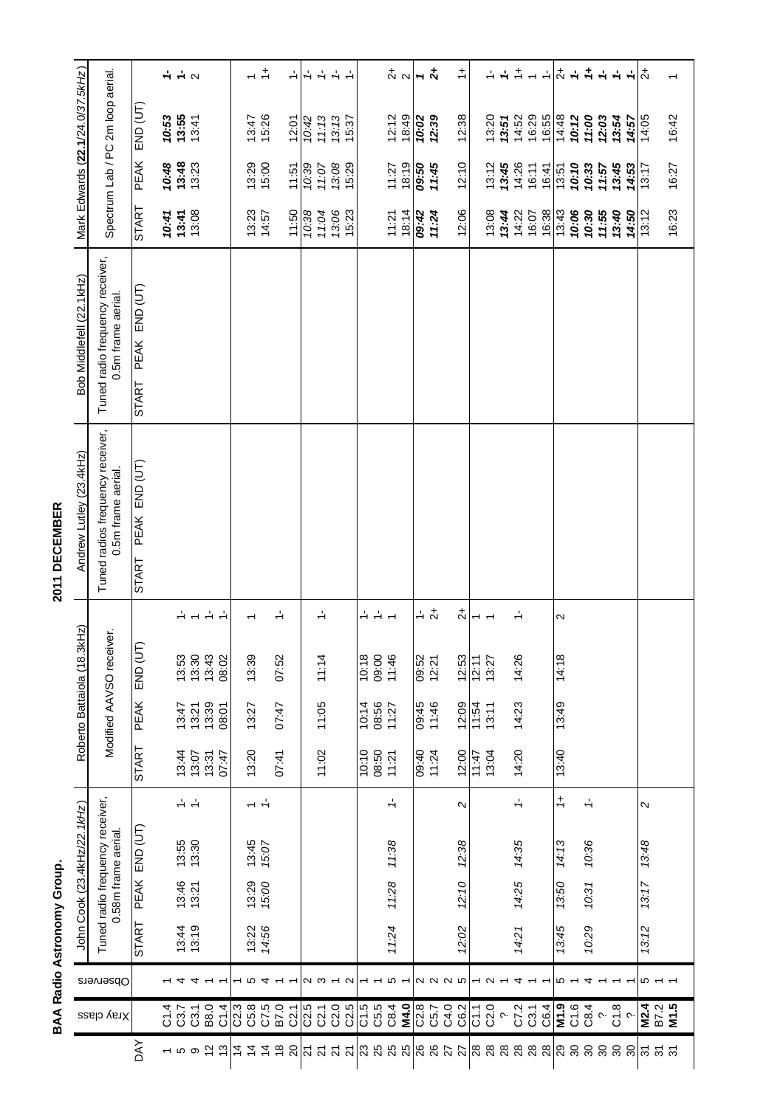**BAA Radio Astronomy Group.** 

2011 DECEMBER

|                              |                             |                                 | BAA Radio Astronomy Group. |                |                                                                |                      |                |                       |                          |                                            | 2011 DECEMBER                                               |                                                             |                    |                               |                                  |                                        |
|------------------------------|-----------------------------|---------------------------------|----------------------------|----------------|----------------------------------------------------------------|----------------------|----------------|-----------------------|--------------------------|--------------------------------------------|-------------------------------------------------------------|-------------------------------------------------------------|--------------------|-------------------------------|----------------------------------|----------------------------------------|
|                              | Xray class                  | Observers                       |                            |                | Tuned radio frequency receiver,<br>John Cook (23.4kHz/22.1kHz) |                      |                | Roberto Battaiola (18 | .3kHz)                   |                                            | Tuned radios frequency receiver,<br>Andrew Lutley (23.4kHz) | Tuned radio frequency receiver,<br>Bob Middlefell (22.1kHz) |                    |                               | Mark Edwards (22.1/24.0/37.5kHz) |                                        |
|                              |                             |                                 |                            |                | 0.58m frame aerial.                                            |                      |                |                       | Modified AAVSO receiver. |                                            | 0.5m frame aerial.                                          | 0.5m frame aerial.                                          |                    |                               | Spectrum Lab / PC 2m loop aerial |                                        |
| <b>AVO</b>                   |                             |                                 | START                      | PEAK           | END (UT)                                                       |                      | START          | <b>PEAK</b>           | JΤ)<br><b>CND (U</b>     |                                            | PEAK END (UT)<br><b>START</b>                               | PEAK END (UT)<br>START                                      | START              | <b>PEAK</b>                   | $END$ $(\overline{UT})$          |                                        |
|                              | ণ.<br>ত                     |                                 |                            |                |                                                                |                      |                |                       |                          |                                            |                                                             |                                                             | 10:41              |                               |                                  |                                        |
| $-50$                        | C3.7                        |                                 | 13:44<br>13:19             | 13:46<br>13:21 | $13:55$<br>$13:30$                                             | $\frac{1}{2}$        | 13:44<br>13:07 | 13:47<br>13:21        | 13:53<br>13:30           | ÷                                          |                                                             |                                                             | $13:41$<br>$13:08$ | $70:48$<br>$13:48$<br>$13:23$ | $70.53$<br>$13.55$<br>$13.41$    | $\frac{1}{2}$ + $\frac{1}{2}$ $\alpha$ |
|                              | C3.1                        | 4                               |                            |                |                                                                | $\frac{1}{2}$        |                |                       |                          |                                            |                                                             |                                                             |                    |                               |                                  |                                        |
| $\frac{1}{2}$                | B8.0                        |                                 |                            |                |                                                                |                      | 13:31          | 13:39                 | 13:43                    | $\stackrel{1}{\leftarrow}$                 |                                                             |                                                             |                    |                               |                                  |                                        |
| $\frac{3}{2}$                | C1.4                        |                                 |                            |                |                                                                |                      | 77:47          | 08:01                 | 08:02                    | $\frac{1}{2}$                              |                                                             |                                                             |                    |                               |                                  |                                        |
| $\overline{4}$               | C2.3                        |                                 |                            |                |                                                                |                      |                |                       |                          |                                            |                                                             |                                                             |                    |                               |                                  |                                        |
| $\overline{4}$               | C5.8<br>C7.5                | က<br>↴                          | 14:56<br>13:22             | 13:29<br>15:00 | 13:45<br>15:07                                                 | $\frac{1}{\sqrt{2}}$ | 13:20          | 13:27                 | 13:39                    |                                            |                                                             |                                                             | 13:23<br>14:57     | $13:29$<br>$15:00$            | 13:47<br>15:26                   |                                        |
| $\frac{8}{2}$<br>$\dot{4}$   | B7.0                        |                                 |                            |                |                                                                |                      | 07:41          | 72:47                 | 07:52                    | $\div$                                     |                                                             |                                                             |                    |                               |                                  | $\overset{+}{\leftarrow}$              |
| $\overline{c}$               | C21                         |                                 |                            |                |                                                                |                      |                |                       |                          |                                            |                                                             |                                                             | 11:50              | 11:51                         | 12:01                            | $\frac{1}{\sqrt{2}}$                   |
|                              | C2.5                        |                                 |                            |                |                                                                |                      |                |                       |                          |                                            |                                                             |                                                             | 10:38              | 10:39                         | 10:42                            | $\frac{1}{\tau}$                       |
| <u> ភ ភ</u>                  | C2.1                        | ດ ພ                             |                            |                |                                                                |                      | 11:02          | 11:05                 | 11:14                    | $\frac{1}{2}$                              |                                                             |                                                             | 11:04              | 11:07                         | 11:13                            |                                        |
|                              | C2.0                        |                                 |                            |                |                                                                |                      |                |                       |                          |                                            |                                                             |                                                             |                    | 13:08                         |                                  | $\frac{1}{2}$                          |
| 21                           | C2.5                        | $\mathbf{\Omega}$               |                            |                |                                                                |                      |                |                       |                          |                                            |                                                             |                                                             | 13:06              | 15:29                         | $13:13$<br>$15:37$               | $\frac{1}{2}$                          |
| <b>2888</b>                  | C1.5                        |                                 |                            |                |                                                                |                      | 10:10          | 10:14                 | 10:18                    | $\frac{1}{\sqrt{2}}$                       |                                                             |                                                             |                    |                               |                                  |                                        |
|                              | C5.5                        |                                 |                            |                |                                                                |                      | 08:50<br>11:21 | 08:56<br>11:27        | 09:00                    | $\frac{1}{2}$                              |                                                             |                                                             |                    |                               |                                  |                                        |
|                              | C8.4                        | 5                               | 11:24                      | 11:28          | 11:38                                                          | $\frac{1}{\tau}$     |                |                       | 11:46                    | $\overline{ }$                             |                                                             |                                                             | 11:21              | 18:19<br>11:27                | 18:49<br>12:12                   | $\frac{1}{2}$                          |
|                              | M4.0                        |                                 |                            |                |                                                                |                      |                |                       |                          |                                            |                                                             |                                                             | 18:14              |                               |                                  |                                        |
|                              | C2.8                        |                                 |                            |                |                                                                |                      | 09:40<br>11:24 | 09:45<br>11:46        | 09:52<br>12:21           | $\frac{1}{\sqrt{2}}$                       |                                                             |                                                             | 09:42              | 09:50<br>11:45                | $10.02$<br>$12.39$               | $7 + 2$                                |
| 8822                         | C5.7                        | 2 2 2 3                         |                            |                |                                                                |                      |                |                       |                          | $\overline{c}$                             |                                                             |                                                             | 11.24              |                               |                                  |                                        |
|                              | C4.0                        |                                 |                            |                |                                                                |                      |                |                       |                          |                                            |                                                             |                                                             |                    |                               |                                  |                                        |
|                              | C6.2                        |                                 | 12:02                      | 12:10          | 12:38                                                          | $\sim$               | 12:00          | 12:09                 | 12:53                    | $\vec{z}$                                  |                                                             |                                                             | 12:06              | 12:10                         | 12:38                            | $\div$                                 |
| 88                           | $\overline{C}$              | $\overline{\phantom{a}}$ $\sim$ |                            |                |                                                                |                      | 11:47          | 11:54                 | 12:11                    | $\overline{\phantom{0}}$<br>$\overline{ }$ |                                                             |                                                             |                    |                               |                                  |                                        |
|                              | C2.0                        |                                 |                            |                |                                                                |                      | 13:04          | 13:11                 | 13:27                    |                                            |                                                             |                                                             | 13:08              | 13:12                         | 13:20                            | $\div$                                 |
|                              |                             |                                 |                            |                |                                                                |                      |                |                       |                          |                                            |                                                             |                                                             | 13:44              | 13:45                         | 13.51                            | $\frac{1}{\tau}$                       |
|                              | C7.2                        |                                 | 14:21                      | 14:25          | 14:35                                                          | $\frac{1}{\sqrt{2}}$ | 14:20          | 14:23                 | 14:26                    | ↵                                          |                                                             |                                                             | 14:22              | 14:26                         | 14:52                            | $\div$                                 |
|                              | C3.1                        |                                 |                            |                |                                                                |                      |                |                       |                          |                                            |                                                             |                                                             | 16:07              | 16:11                         | 16:29                            | $\overline{ }$                         |
|                              | C6.4                        |                                 |                            |                |                                                                |                      |                |                       |                          |                                            |                                                             |                                                             | 16:38              | 16:41                         | 16:55                            | $\div$                                 |
| ន្តន្តន <mark>្ត</mark> ្រាន | M1.9                        | 5 ←                             | 13:45                      | 13:50          | 14:13                                                          | $\ddagger$           | 13:40          | 13:49                 | 14:18                    | $\mathbf{\Omega}$                          |                                                             |                                                             | 13:43              | 13:51                         | 14:48                            | $\stackrel{+}{\sim}$                   |
|                              | C1.6                        |                                 |                            |                |                                                                |                      |                |                       |                          |                                            |                                                             |                                                             | 10:06              | 10:10                         | 10:12                            | $\frac{1}{\tau}$                       |
|                              | C8.4                        | 4                               | 10:29                      | 10:31          | 10:36                                                          | $\frac{1}{\sqrt{2}}$ |                |                       |                          |                                            |                                                             |                                                             | 10:30              | 10:33                         | 11:00                            | $\ddagger$                             |
| ន ន ន                        | $\sim$                      |                                 |                            |                |                                                                |                      |                |                       |                          |                                            |                                                             |                                                             | 11:55              | 11.57                         | 12:03                            | $\frac{1}{2}$                          |
|                              | $rac{8}{2}$                 |                                 |                            |                |                                                                |                      |                |                       |                          |                                            |                                                             |                                                             | 13:40              | 13.45                         | 13:54                            |                                        |
| ႙ၟ                           |                             |                                 |                            |                |                                                                |                      |                |                       |                          |                                            |                                                             |                                                             | 14:50              | 14:53                         | 14:57                            | $\frac{1}{\tau}$                       |
|                              |                             | r<br>0 -                        | 13:12                      | 13:17          | 13:48                                                          | И                    |                |                       |                          |                                            |                                                             |                                                             | 13:12              | 13:17                         | 14:05                            | $\ddot{z}$                             |
| న్ న్ న్                     | <b>M2.4</b><br>B7.2<br>M1.5 |                                 |                            |                |                                                                |                      |                |                       |                          |                                            |                                                             |                                                             |                    |                               |                                  |                                        |
|                              |                             |                                 |                            |                |                                                                |                      |                |                       |                          |                                            |                                                             |                                                             | 16:23              | 16:27                         | 16:42                            | $\overline{\phantom{0}}$               |
|                              |                             |                                 |                            |                |                                                                |                      |                |                       |                          |                                            |                                                             |                                                             |                    |                               |                                  |                                        |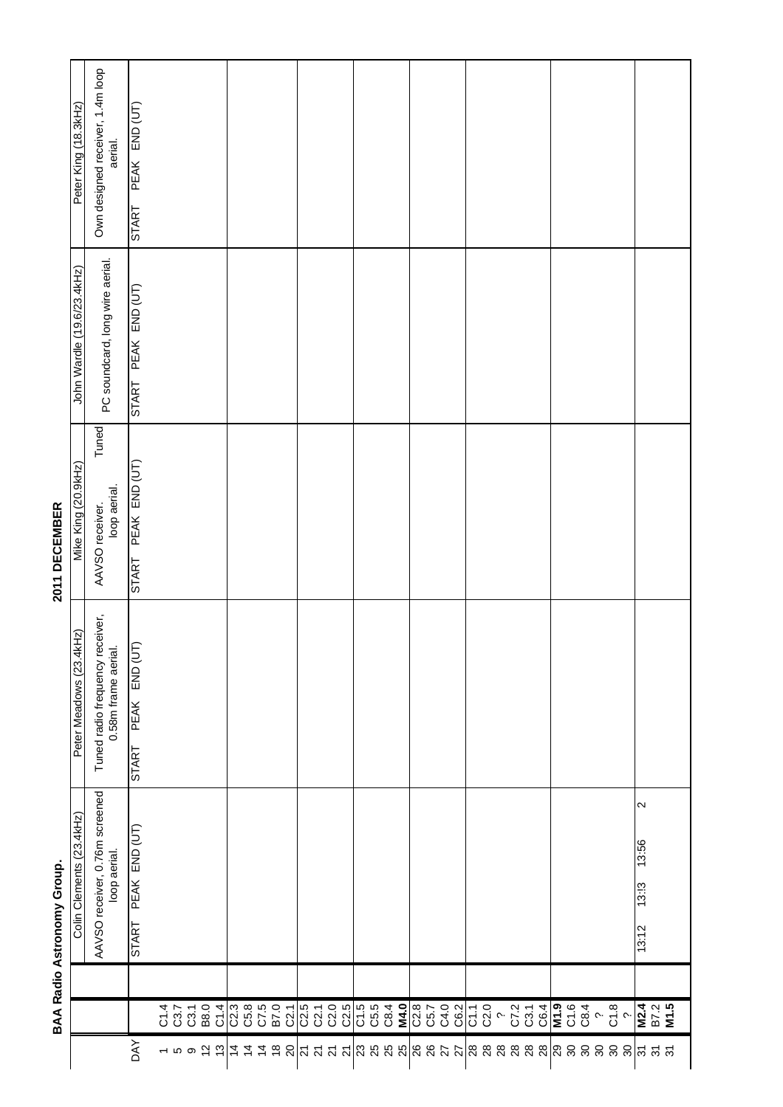2011 DECEMBER

BAA Radio Astronomy Group.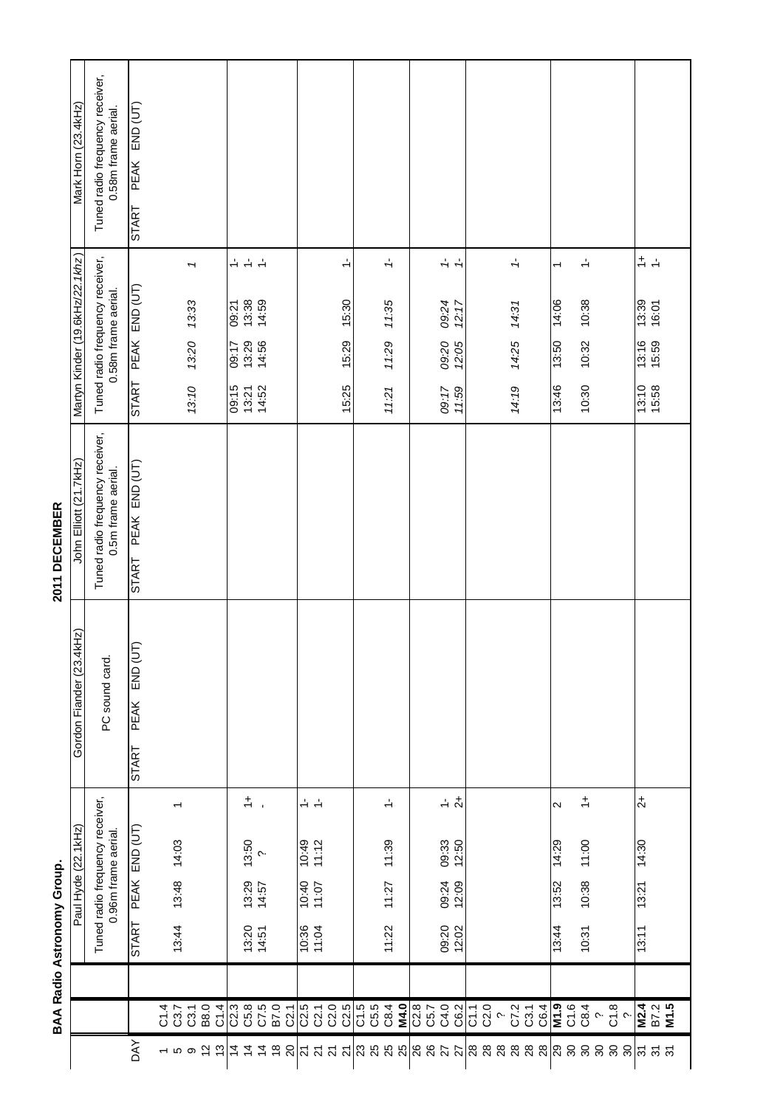| ı |
|---|
|   |
| ١ |
|   |
|   |
|   |
|   |
|   |
|   |
|   |
|   |
| c |
| ٠ |
|   |
|   |
| ī |
|   |
|   |
|   |
| ш |
|   |

2011 DECEMBER

|                            | Mark Horn (23.4kHz)             | Tuned radio frequency receiver,<br>0.58m frame aerial. | END (UT)<br>PEAK<br><b>START</b>        |              |                          |       |             |      |              |                        |                |               |                             |                                           |                          |                             |                      |             |      |      |                 |              |        |                      |              |                               |                          |      |                            |    |             |                                                       |  |
|----------------------------|---------------------------------|--------------------------------------------------------|-----------------------------------------|--------------|--------------------------|-------|-------------|------|--------------|------------------------|----------------|---------------|-----------------------------|-------------------------------------------|--------------------------|-----------------------------|----------------------|-------------|------|------|-----------------|--------------|--------|----------------------|--------------|-------------------------------|--------------------------|------|----------------------------|----|-------------|-------------------------------------------------------|--|
|                            |                                 |                                                        |                                         |              |                          | T     |             |      | $\div$       | $\frac{1}{2}$          | $\div$         |               |                             |                                           | $\frac{1}{2}$            |                             | $\frac{1}{\sqrt{2}}$ |             |      |      | $\frac{1}{t}$   |              |        | $\frac{1}{\sqrt{2}}$ |              |                               | $\overline{\phantom{0}}$ |      | $\stackrel{1}{\leftarrow}$ |    |             | $\div$<br>$\frac{1}{2}$                               |  |
|                            |                                 |                                                        | PEAK END (UT)                           |              |                          | 13:33 |             |      | 09:21        | 13:38<br>14:59         |                |               |                             |                                           | 15:30                    |                             | 11:35                |             |      |      | 09:24<br>12:17  |              |        | 14:31                |              |                               | 14:06                    |      | 10:38                      |    |             | 13:39<br>16:01                                        |  |
|                            | Martyn Kinder (19.6kHz/22.1khz) | Tuned radio frequency receiver,<br>0.58m frame aerial. |                                         |              |                          | 13:20 |             |      | 09:17        | 13:29                  | 14:56          |               |                             |                                           | 15:29                    |                             | 11:29                |             |      |      | 09:20<br>12:05  |              |        | 14:25                |              |                               | 13:50                    |      | 10:32                      |    |             | 13:16<br>15:59                                        |  |
|                            |                                 |                                                        | <b>START</b>                            |              |                          | 13:10 |             |      | 09:15        | 13:21                  | 14:52          |               |                             |                                           | 15:25                    |                             | 11:21                |             |      |      | 11:59<br>09:17  |              |        | 14:19                |              |                               | 13:46                    |      | 10:30                      |    |             | $13:10$<br>$15:58$                                    |  |
| 2011 DECEMBER              | John Elliott (21.7kHz)          | Tuned radio frequency receiver,<br>0.5m frame aerial.  | PEAK END (UT)<br><b>START</b>           |              |                          |       |             |      |              |                        |                |               |                             |                                           |                          |                             |                      |             |      |      |                 |              |        |                      |              |                               |                          |      |                            |    |             |                                                       |  |
|                            | $4k$ Hz)<br>Gordon Fiander (23. | PC sound card                                          | END (UT)<br><b>PEAK</b><br><b>START</b> |              |                          |       |             |      |              |                        |                |               |                             |                                           |                          |                             |                      |             |      |      |                 |              |        |                      |              |                               |                          |      |                            |    |             |                                                       |  |
|                            |                                 |                                                        |                                         |              | $\overline{\phantom{0}}$ |       |             |      |              | $\div$<br>$\mathbf{r}$ |                |               | $\frac{1}{2}$ $\frac{1}{2}$ |                                           |                          |                             | $\div$               |             |      |      | $\frac{1}{2}$ + |              |        |                      |              |                               | $\sim$                   |      | $\div$                     |    |             | $\overline{c}$                                        |  |
|                            | Paul Hyde (22.1kHz)             | Tuned radio frequency receiver,<br>0.96m frame aerial. | PEAK END (UT)                           |              | 14:03                    |       |             |      |              | $13:50$<br>$?$         |                |               | 10:49                       | 11:12                                     |                          |                             | 11:39                |             |      |      | 09:33<br>12:50  |              |        |                      |              |                               | 14:29                    |      | 11:00                      |    |             | 14:30                                                 |  |
|                            |                                 |                                                        |                                         |              | 13:48                    |       |             |      |              | 13:29<br>14:57         |                |               | 40:01<br>07:01              |                                           |                          |                             | 11:27                |             |      |      | 09:24<br>12:09  |              |        |                      |              |                               | 13:52                    |      | 10:38                      |    |             | 13:21                                                 |  |
| BAA Radio Astronomy Group. |                                 |                                                        | <b>START</b>                            |              | 13:44                    |       |             |      |              | $13:20$<br>$14:51$     |                |               | 10:36<br>98:01              |                                           |                          |                             | 11:22                |             |      |      | 09:20<br>12:02  |              |        |                      |              |                               | 13:44                    |      | 10:31                      |    |             | 13:11                                                 |  |
|                            |                                 |                                                        |                                         |              |                          |       |             |      |              |                        |                |               |                             |                                           |                          |                             |                      |             |      |      |                 |              |        |                      |              |                               |                          |      |                            |    |             |                                                       |  |
|                            |                                 |                                                        |                                         | C1.4<br>C3.7 |                          | C3.1  | <b>B8.0</b> | C1.4 | C2.3<br>C5.8 |                        | C7.5<br>B7.0   | C2.1          |                             | 5<br>021<br>023                           | C2.5                     | C1.5                        | C5.4<br>C8.4         | <b>M4.0</b> | C2.8 | C5.7 | C4.0<br>C6.2    | C1.1<br>C2.0 | $\sim$ |                      | C7.2<br>C3.1 | C6.4                          | $\overline{M}$ 1.9       | C1.6 | C8.4                       |    | $rac{8}{2}$ | M2.4<br>B7.2<br>M1.5                                  |  |
|                            |                                 |                                                        | <b>AVO</b>                              |              |                          |       |             |      | $rac{4}{4}$  |                        | $\overline{4}$ | $\frac{8}{2}$ |                             | $\overline{\alpha}$ ភ $\overline{\alpha}$ | $\overline{\mathcal{S}}$ | $\frac{2}{3}$ $\frac{2}{3}$ |                      |             |      |      | 885588          |              |        | <b>28</b>            |              | $\frac{8}{28}$ $\frac{8}{28}$ |                          |      | $30^{\circ}$               | 80 | 80<br>80    | $\overline{\widetilde{\mathcal{C}}}$<br>$\frac{1}{2}$ |  |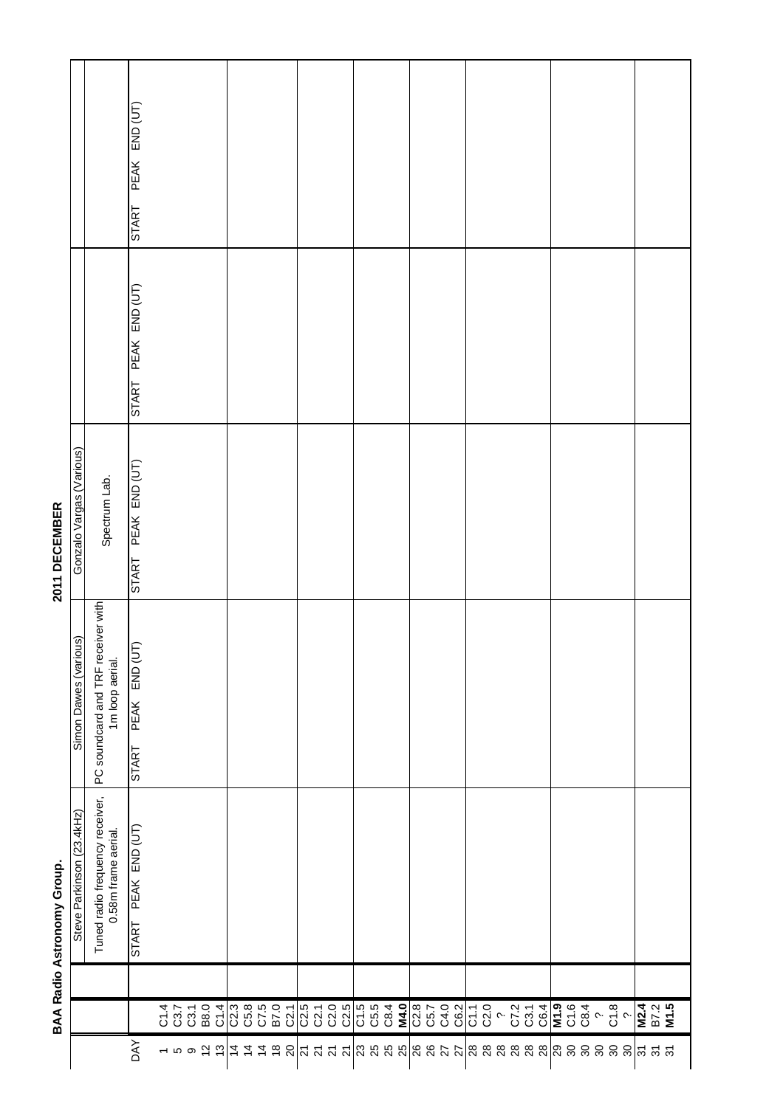|              |                                                                | BAA Radio Astronomy Group.                             |                                                       | 2011 DECEMBER            |                               |                               |
|--------------|----------------------------------------------------------------|--------------------------------------------------------|-------------------------------------------------------|--------------------------|-------------------------------|-------------------------------|
|              |                                                                | Steve Parkinson (23.4kHz)                              | Simon Dawes (various)                                 | Gonzalo Vargas (Various) |                               |                               |
|              |                                                                | Tuned radio frequency receiver,<br>0.58m frame aerial. | PC soundcard and TRF receiver with<br>1m loop aerial. | Spectrum Lab.            |                               |                               |
| <b>AVO</b>   |                                                                | START PEAK END (UT)                                    | PEAK END (UT)<br>START                                | START PEAK END (UT)      | PEAK END (UT)<br><b>START</b> | PEAK END (UT)<br><b>START</b> |
|              |                                                                |                                                        |                                                       |                          |                               |                               |
|              |                                                                |                                                        |                                                       |                          |                               |                               |
|              | $77704$<br>$77704$<br>$0804$                                   |                                                        |                                                       |                          |                               |                               |
|              |                                                                |                                                        |                                                       |                          |                               |                               |
|              |                                                                |                                                        |                                                       |                          |                               |                               |
|              |                                                                |                                                        |                                                       |                          |                               |                               |
|              |                                                                |                                                        |                                                       |                          |                               |                               |
|              |                                                                |                                                        |                                                       |                          |                               |                               |
|              | C2.1                                                           |                                                        |                                                       |                          |                               |                               |
|              |                                                                |                                                        |                                                       |                          |                               |                               |
|              |                                                                |                                                        |                                                       |                          |                               |                               |
|              |                                                                |                                                        |                                                       |                          |                               |                               |
|              | 02.5<br>02.1<br>02.5<br>02.5                                   |                                                        |                                                       |                          |                               |                               |
|              |                                                                |                                                        |                                                       |                          |                               |                               |
|              | C1.5<br>C5.5<br>C8.4                                           |                                                        |                                                       |                          |                               |                               |
|              |                                                                |                                                        |                                                       |                          |                               |                               |
|              | M4.0                                                           |                                                        |                                                       |                          |                               |                               |
|              |                                                                |                                                        |                                                       |                          |                               |                               |
|              | 0.50<br>2.90<br>8.70                                           |                                                        |                                                       |                          |                               |                               |
|              |                                                                |                                                        |                                                       |                          |                               |                               |
|              | C6.2                                                           |                                                        |                                                       |                          |                               |                               |
|              |                                                                |                                                        |                                                       |                          |                               |                               |
|              |                                                                |                                                        |                                                       |                          |                               |                               |
|              |                                                                |                                                        |                                                       |                          |                               |                               |
|              |                                                                |                                                        |                                                       |                          |                               |                               |
|              |                                                                |                                                        |                                                       |                          |                               |                               |
|              |                                                                |                                                        |                                                       |                          |                               |                               |
|              |                                                                |                                                        |                                                       |                          |                               |                               |
|              |                                                                |                                                        |                                                       |                          |                               |                               |
|              |                                                                |                                                        |                                                       |                          |                               |                               |
|              | $50 - 25 = 50$<br>$50 - 25 = 50$ $50 - 25 = 50$ $50 - 25 = 50$ |                                                        |                                                       |                          |                               |                               |
|              |                                                                |                                                        |                                                       |                          |                               |                               |
|              |                                                                |                                                        |                                                       |                          |                               |                               |
| <b>គ គ គ</b> | M2.4<br>B7.2<br>M1.5                                           |                                                        |                                                       |                          |                               |                               |
|              |                                                                |                                                        |                                                       |                          |                               |                               |

٦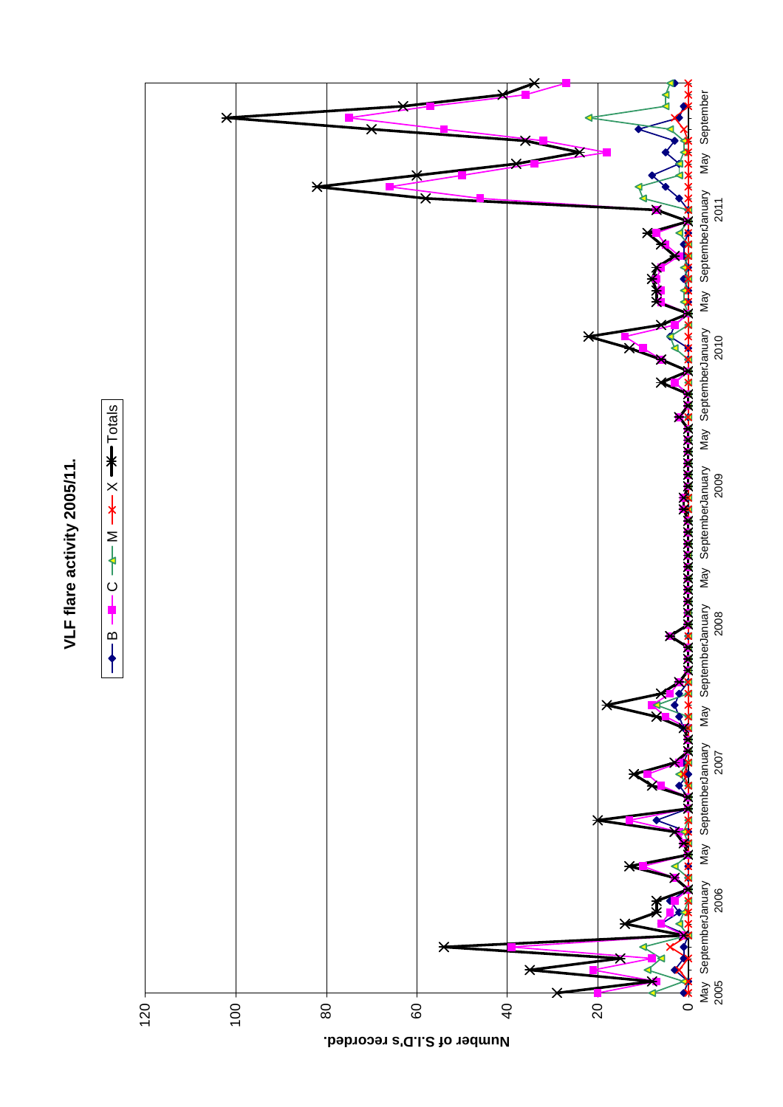

VLF flare activity 2005/11. **VLF flare activity 2005/11.**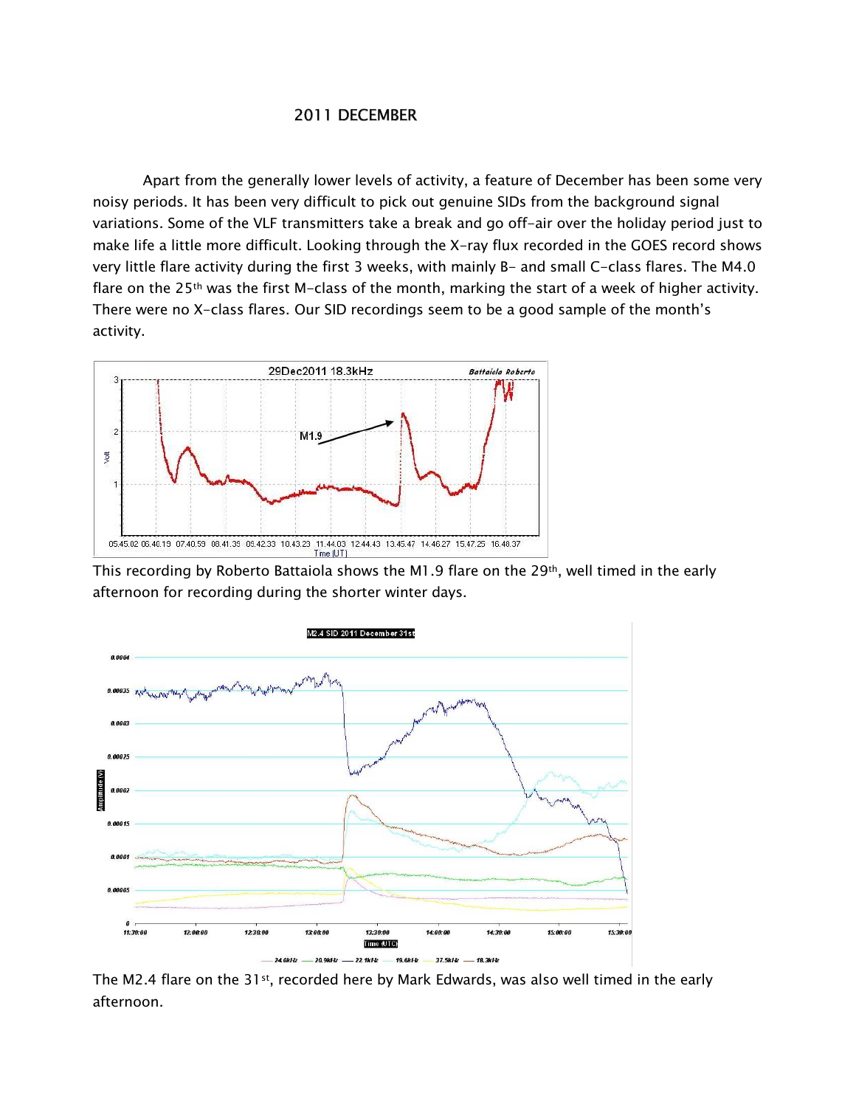## 2011 DECEMBER

Apart from the generally lower levels of activity, a feature of December has been some very noisy periods. It has been very difficult to pick out genuine SIDs from the background signal variations. Some of the VLF transmitters take a break and go off-air over the holiday period just to make life a little more difficult. Looking through the X-ray flux recorded in the GOES record shows very little flare activity during the first 3 weeks, with mainly B- and small C-class flares. The M4.0 flare on the 25<sup>th</sup> was the first M-class of the month, marking the start of a week of higher activity. There were no X-class flares. Our SID recordings seem to be a good sample of the month's activity.



This recording by Roberto Battaiola shows the M1.9 flare on the 29<sup>th</sup>, well timed in the early afternoon for recording during the shorter winter days.



The M2.4 flare on the 31<sup>st</sup>, recorded here by Mark Edwards, was also well timed in the early afternoon.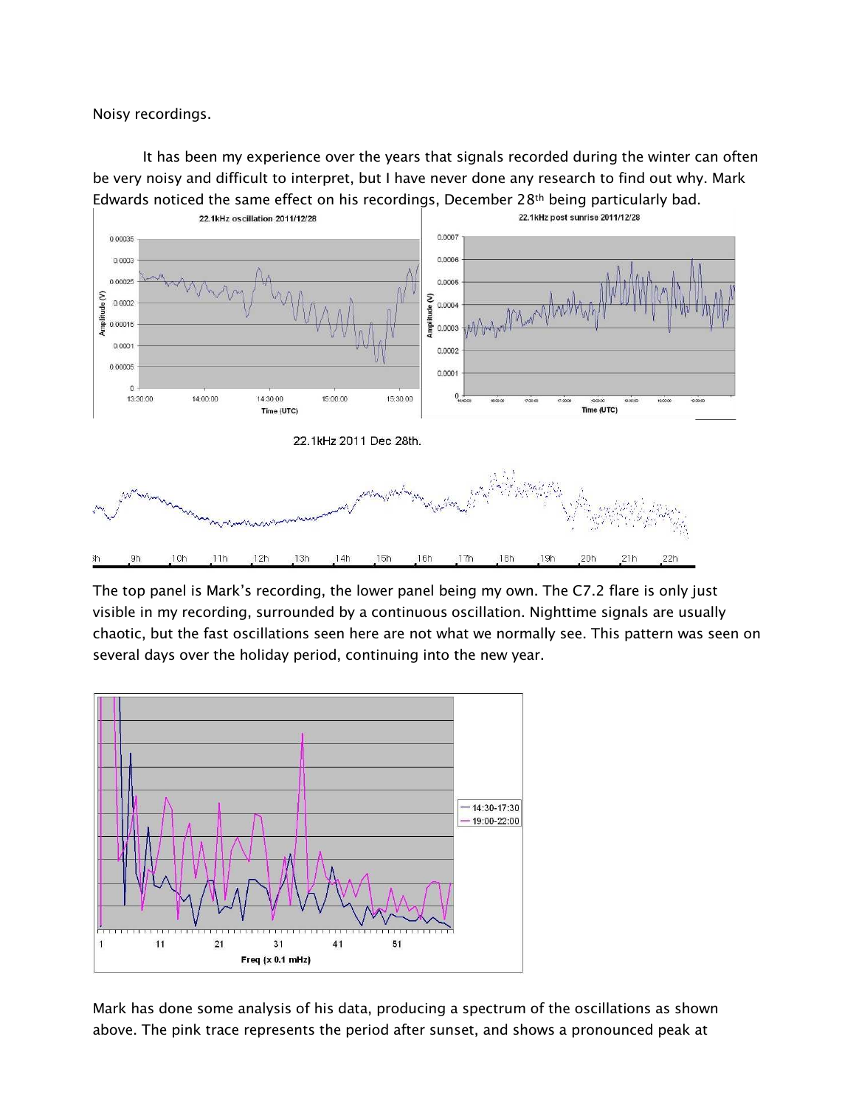Noisy recordings.

It has been my experience over the years that signals recorded during the winter can often be very noisy and difficult to interpret, but I have never done any research to find out why. Mark Edwards noticed the same effect on his recordings, December 28<sup>th</sup> being particularly bad.



The top panel is Mark's recording, the lower panel being my own. The C7.2 flare is only just visible in my recording, surrounded by a continuous oscillation. Nighttime signals are usually chaotic, but the fast oscillations seen here are not what we normally see. This pattern was seen on several days over the holiday period, continuing into the new year.



Mark has done some analysis of his data, producing a spectrum of the oscillations as shown above. The pink trace represents the period after sunset, and shows a pronounced peak at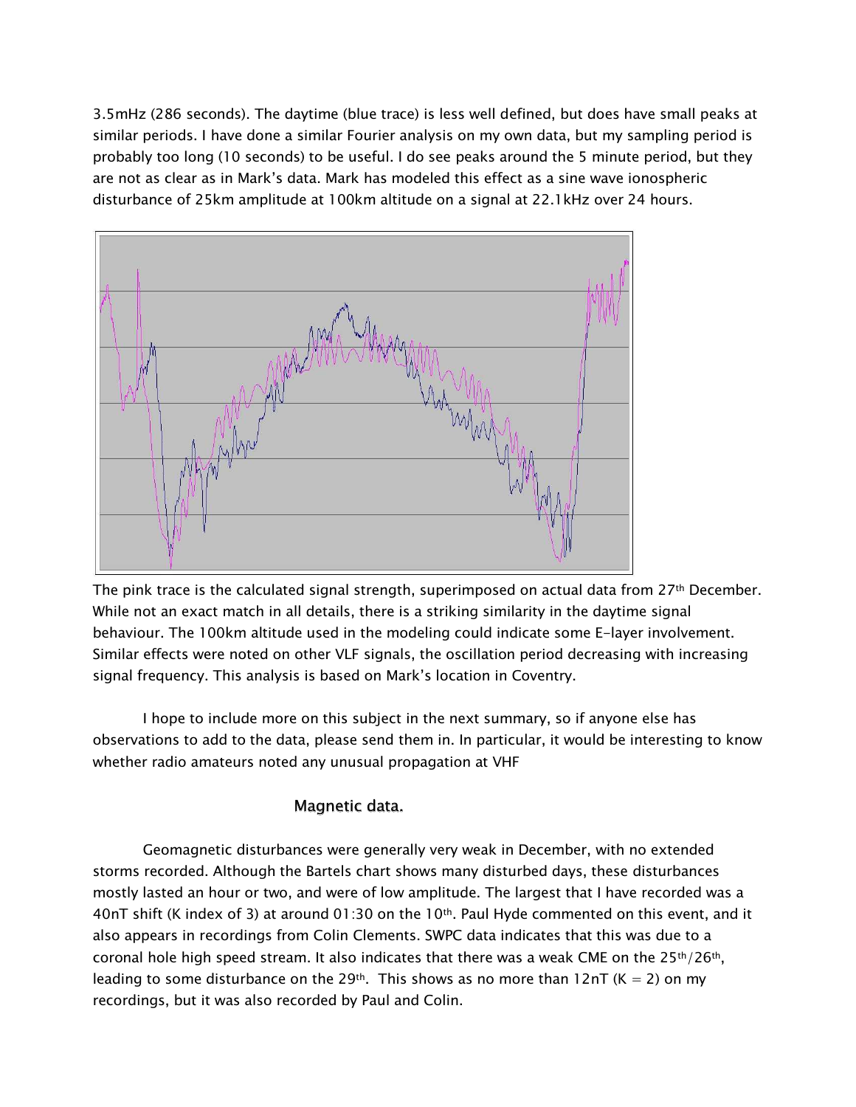3.5mHz (286 seconds). The daytime (blue trace) is less well defined, but does have small peaks at similar periods. I have done a similar Fourier analysis on my own data, but my sampling period is probably too long (10 seconds) to be useful. I do see peaks around the 5 minute period, but they are not as clear as in Mark's data. Mark has modeled this effect as a sine wave ionospheric disturbance of 25km amplitude at 100km altitude on a signal at 22.1kHz over 24 hours.



The pink trace is the calculated signal strength, superimposed on actual data from 27<sup>th</sup> December. While not an exact match in all details, there is a striking similarity in the daytime signal behaviour. The 100km altitude used in the modeling could indicate some E-layer involvement. Similar effects were noted on other VLF signals, the oscillation period decreasing with increasing signal frequency. This analysis is based on Mark's location in Coventry.

I hope to include more on this subject in the next summary, so if anyone else has observations to add to the data, please send them in. In particular, it would be interesting to know whether radio amateurs noted any unusual propagation at VHF

## Magnetic data.

Geomagnetic disturbances were generally very weak in December, with no extended storms recorded. Although the Bartels chart shows many disturbed days, these disturbances mostly lasted an hour or two, and were of low amplitude. The largest that I have recorded was a 40nT shift (K index of 3) at around 01:30 on the 10<sup>th</sup>. Paul Hyde commented on this event, and it also appears in recordings from Colin Clements. SWPC data indicates that this was due to a coronal hole high speed stream. It also indicates that there was a weak CME on the  $25th/26th$ , leading to some disturbance on the 29<sup>th</sup>. This shows as no more than 12nT (K = 2) on my recordings, but it was also recorded by Paul and Colin.